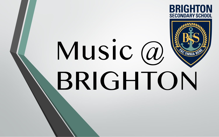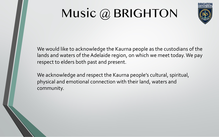

We would like to acknowledge the Kaurna people as the custodians of the lands and waters of the Adelaide region, on which we meet today. We pay respect to elders both past and present.

We acknowledge and respect the Kaurna people's cultural, spiritual, physical and emotional connection with their land, waters and community.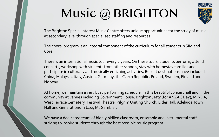

The Brighton Special Interest Music Centre offers unique opportunities for the study of music at secondary level through specialised staffing and resources.

The choral program is an integral component of the curriculum for all students in SIM and Core.

There is an international music tour every 2 years. On these tours, students perform, attend concerts, workshop with students from other schools, stay with homestay families and participate in culturally and musically enriching activities. Recent destinations have included China, Malaysia, Italy, Austria, Germany, the Czech Republic, Poland, Sweden, Finland and Norway.

At home, we maintain a very busy performing schedule, in this beautiful concert hall and in the community at venues including Government House, Brighton Jetty (for ANZAC Day), MINDA, West Terrace Cemetery, Festival Theatre, Pilgrim Uniting Church, Elder Hall, Adelaide Town Hall and Generations in Jazz, Mt Gambier.

We have a dedicated team of highly-skilled classroom, ensemble and instrumental staff striving to inspire students through the best possible music program.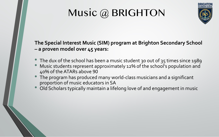

### **The Special Interest Music (SIM) program at Brighton Secondary School – a proven model over 45 years:**

- The dux of the school has been a music student 30 out of 35 times since 1989
- Music students represent approximately 12% of the school's population and 40% of the ATARs above 90
- The program has produced many world-class musicians and a significant proportion of music educators in SA
- Old Scholars typically maintain a lifelong love of and engagement in music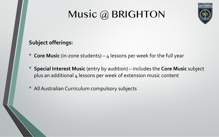

### **Subject offerings:**

- **Core Music** (in-zone students) 4 lessons per week for the full year
- **Special Interest Music** (entry by audition) includes the **Core Music** subject plus an additional 4 lessons per week of extension music content
- All Australian Curriculum compulsory subjects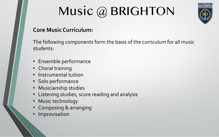

### **Core Music Curriculum:**

The following components form the basis of the curriculum for all music students:

- Ensemble performance
- Choral training
- Instrumental tuition
- Solo performance
- Musicianship studies
- Listening studies, score reading and analysis
- Music technology
- Composing & arranging
- **Improvisation**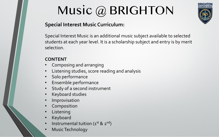

### **Special Interest Music Curriculum:**

Special Interest Music is an additional music subject available to selected students at each year level. It is a scholarship subject and entry is by merit selection.

#### **CONTENT**

- Composing and arranging
- Listening studies, score reading and analysis
- Solo performance
- Ensemble performance
- Study of a second instrument
- Keyboard studies
- **Improvisation**
- **Composition**
- **Listening**
- Keyboard
- Instrumental tuition  $(1^{st} 8 \ 2^{nd})$
- Music Technology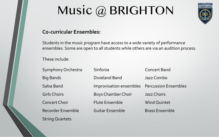

#### **Co-curricular Ensembles:**

Students in the music program have access to a wide variety of performance ensembles. Some are open to all students while others are via an audition process.

These include:

| Symphony Orchestra       | Sinfonia                                     | <b>Concert Band</b>   |
|--------------------------|----------------------------------------------|-----------------------|
| <b>Big Bands</b>         | Dixieland Band                               | Jazz Combo            |
| Salsa Band               | Improvisation ensembles Percussion Ensembles |                       |
| <b>Girls Choirs</b>      | <b>Boys Chamber Choir</b>                    | Jazz Choirs           |
| <b>Concert Choir</b>     | <b>Flute Ensemble</b>                        | <b>Wind Quintet</b>   |
| <b>Recorder Ensemble</b> | <b>Guitar Ensemble</b>                       | <b>Brass Ensemble</b> |
| <b>String Quartets</b>   |                                              |                       |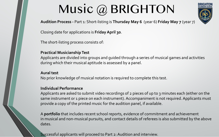

**Audition Process -** Part 1: Short-listing is **Thursday May 6** (year 6) **Friday May 7** (year 7)

Closing date for applications is **Friday April 30**.

The short-listing process consists of:

#### **Practical Musicianship Test**

Applicants are divided into groups and guided through a series of musical games and activities during which their musical aptitude is assessed by a panel.

#### **Aural test**

No prior knowledge of musical notation is required to complete this test.

#### **Individual Performance**

Applicants are asked to submit video recordings of 2 pieces of up to 3 minutes each (either on the same instrument or 1 piece on each instrument). Accompaniment is not required. Applicants must provide a copy of the printed music for the audition panel, if available.

A **portfolio** that includes recent school reports, evidence of commitment and achievement in musical and non-musical pursuits, and contact details of referees is also submitted by the above dates.

Successful applicants will proceed to Part 2: Audition and interview.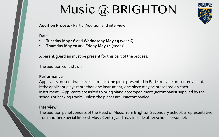

**Audition Process -** Part 2: Audition and interview

Dates:

- **Tuesday May 18** and **Wednesday May 19** (year 6)
- **Thursday May 20** and **Friday May 21** (year 7)

A parent/guardian must be present for this part of the process.

The audition consists of:

#### **Performance**

Applicants present two pieces of music (the piece presented in Part 1 may be presented again). If the applicant plays more than one instrument, one piece may be presented on each instrument. Applicants are asked to bring piano accompaniment (accompanist supplied by the school) or backing tracks, unless the pieces are unaccompanied.

#### **Interview**

The audition panel consists of the Head of Music from Brighton Secondary School, a representative from another Special Interest Music Centre, and may include other school personnel.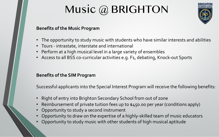

#### **Benefits of the Music Program**

- The opportunity to study music with students who have similar interests and abilities
- Tours intrastate, interstate and international
- Perform at a high musical level in a large variety of ensembles
- Access to all BSS co-curricular activities e.g. F1, debating, Knock-out Sports

#### **Benefits of the SIM Program**

Successful applicants into the Special Interest Program will receive the following benefits:

- Right of entry into Brighton Secondary School from out of zone
- Reimbursement of private tuition fees up to \$450.00 per year (conditions apply)
- Opportunity to study a second instrument
- Opportunity to draw on the expertise of a highly-skilled team of music educators
- Opportunity to study music with other students of high musical aptitude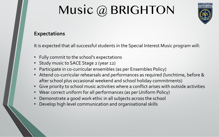

### **Expectations**

It is expected that all successful students in the Special Interest Music program will:

- Fully commit to the school's expectations
- Study music to SACE Stage 2 (year 12)
- Participate in co-curricular ensembles (as per Ensembles Policy)
- Attend co-curricular rehearsals and performances as required (lunchtime, before & after school plus occasional weekend and school holiday commitments)
- Give priority to school music activities where a conflict arises with outside activities
- Wear correct uniform for all performances (as per Uniform Policy)
- Demonstrate a good work ethic in all subjects across the school
- Develop high level communication and organisational skills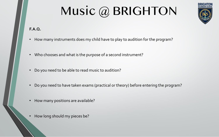

**F.A.Q.**

- How many instruments does my child have to play to audition for the program?
- Who chooses and what is the purpose of a second instrument?
- Do you need to be able to read music to audition?
- Do you need to have taken exams (practical or theory) before entering the program?
- How many positions are available?
- How long should my pieces be?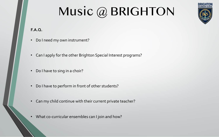

**F.A.Q.**

- Do I need my own instrument?
- Can I apply for the other Brighton Special Interest programs?
- Do I have to sing in a choir?
- Do I have to perform in front of other students?
- Can my child continue with their current private teacher?
- What co-curricular ensembles can I join and how?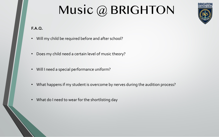

**F.A.Q.**

- Will my child be required before and after school?
- Does my child need a certain level of music theory?
- Will I need a special performance uniform?
- What happens if my student is overcome by nerves during the audition process?
- What do I need to wear for the shortlisting day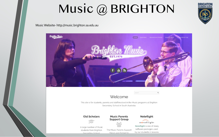

Music Website- http://music.brighton.sa.edu.au



#### Welcome

This site is for students, parents and staff involved in the Music programs at Brighton Secondary School in South Australia.

#### **Old Scholars**

#### **Music Parents Support Group**



Search

 $\hbox{\tt Q}$ 



Noteflight is one of many software packages used by our students in lessons



A large number of Music students from Brighton Secondary School

The Music Parents Support Group was formed to